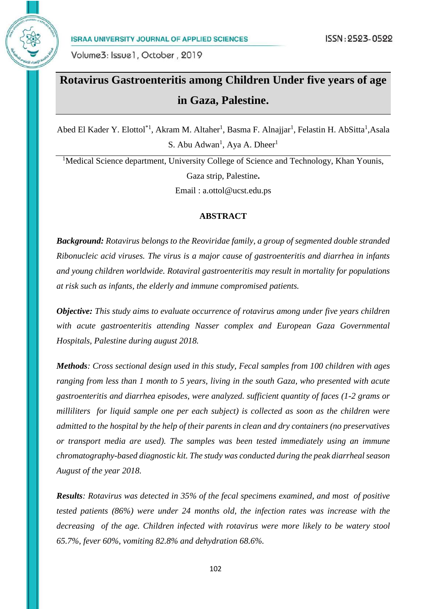

## **Rotavirus Gastroenteritis among Children Under five years of age in Gaza, Palestine.**

Abed El Kader Y. Elottol<sup>\*1</sup>, Akram M. Altaher<sup>1</sup>, Basma F. Alnajjar<sup>1</sup>, Felastin H. AbSitta<sup>1</sup>, Asala S. Abu Adwan<sup>1</sup>, Aya A. Dheer<sup>1</sup>

<sup>1</sup>Medical Science department, University College of Science and Technology, Khan Younis, Gaza strip, Palestine**.** Email : a.ottol@ucst.edu.ps

#### **ABSTRACT**

*Background: Rotavirus belongs to the Reoviridae family, a group of segmented double stranded Ribonucleic acid viruses. The virus is a major cause of gastroenteritis and diarrhea in infants and young children worldwide. Rotaviral gastroenteritis may result in mortality for populations at risk such as infants, the elderly and immune compromised patients.*

*Objective: This study aims to evaluate occurrence of rotavirus among under five years children with acute gastroenteritis attending Nasser complex and European Gaza Governmental Hospitals, Palestine during august 2018.*

*Methods: Cross sectional design used in this study, Fecal samples from 100 children with ages ranging from less than 1 month to 5 years, living in the south Gaza, who presented with acute gastroenteritis and diarrhea episodes, were analyzed. sufficient quantity of faces (1-2 grams or milliliters for liquid sample one per each subject) is collected as soon as the children were admitted to the hospital by the help of their parents in clean and dry containers (no preservatives or transport media are used). The samples was been tested immediately using an immune chromatography-based diagnostic kit. The study was conducted during the peak diarrheal season August of the year 2018.*

*Results: Rotavirus was detected in 35% of the fecal specimens examined, and most of positive tested patients (86%) were under 24 months old, the infection rates was increase with the decreasing of the age. Children infected with rotavirus were more likely to be watery stool 65.7%, fever 60%, vomiting 82.8% and dehydration 68.6%.*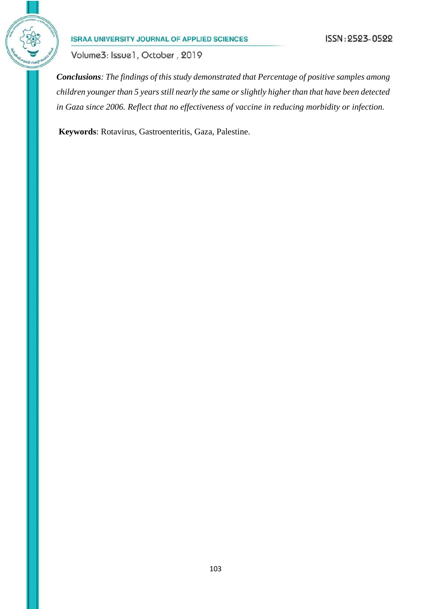

Volume3: Issue1, October, 2019

*Conclusions: The findings of this study demonstrated that Percentage of positive samples among children younger than 5 years still nearly the same or slightly higher than that have been detected in Gaza since 2006. Reflect that no effectiveness of vaccine in reducing morbidity or infection.* 

**Keywords**: Rotavirus, Gastroenteritis, Gaza, Palestine.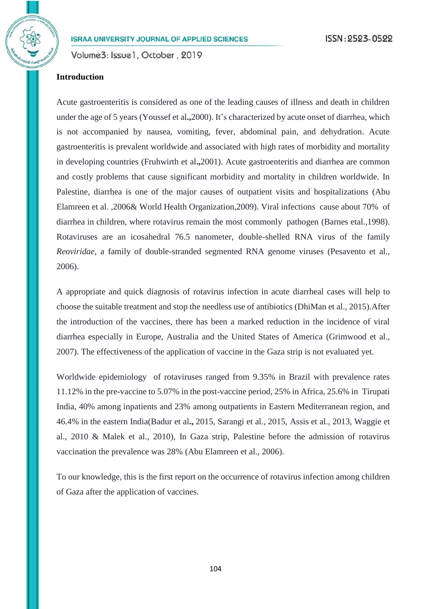#### **Introduction**

Acute gastroenteritis is considered as one of the leading causes of illness and death in children under the age of 5 years (Youssef et al**.,**2000). It's characterized by acute onset of diarrhea, which is not accompanied by nausea, vomiting, fever, abdominal pain, and dehydration. Acute gastroenteritis is prevalent worldwide and associated with high rates of morbidity and mortality in developing countries (Fruhwirth et al**.,**2001). Acute gastroenteritis and diarrhea are common and costly problems that cause significant morbidity and mortality in children worldwide. In Palestine, diarrhea is one of the major causes of outpatient visits and hospitalizations (Abu Elamreen et al. ,2006& World Health Organization,2009). Viral infections cause about 70% of diarrhea in children, where rotavirus remain the most commonly pathogen (Barnes etal.,1998). Rotaviruses are an icosahedral 76.5 nanometer, double-shelled RNA virus of the family *Reoviridae*, a family of double-stranded segmented RNA genome viruses (Pesavento et al., 2006).

A appropriate and quick diagnosis of rotavirus infection in acute diarrheal cases will help to choose the suitable treatment and stop the needless use of antibiotics (DhiMan et al., 2015).After the introduction of the vaccines, there has been a marked reduction in the incidence of viral diarrhea especially in Europe, Australia and the United States of America (Grimwood et al., 2007). The effectiveness of the application of vaccine in the Gaza strip is not evaluated yet.

Worldwide epidemiology of rotaviruses ranged from 9.35% in Brazil with prevalence rates 11.12% in the pre-vaccine to 5.07% in the post-vaccine period, 25% in Africa, 25.6% in Tirupati India, 40% among inpatients and 23% among outpatients in Eastern Mediterranean region, and 46.4% in the eastern India(Badur et al**.,** 2015, Sarangi et al., 2015, Assis et al., 2013, Waggie et al., 2010 & Malek et al., 2010), In Gaza strip, Palestine before the admission of rotavirus vaccination the prevalence was 28% (Abu Elamreen et al., 2006).

To our knowledge, this is the first report on the occurrence of rotavirus infection among children of Gaza after the application of vaccines.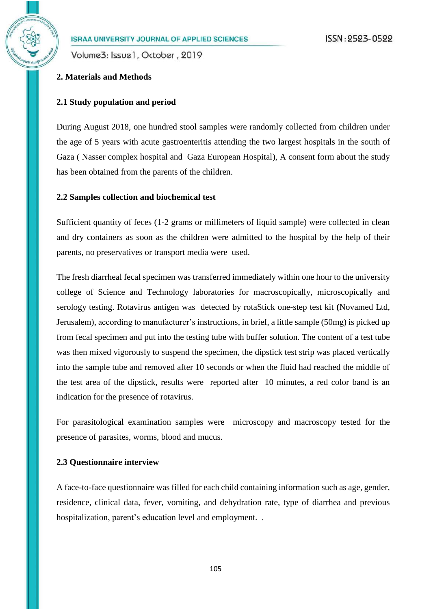Volume3: Issue1, October, 2019

# **2. Materials and Methods**

#### **2.1 Study population and period**

During August 2018, one hundred stool samples were randomly collected from children under the age of 5 years with acute gastroenteritis attending the two largest hospitals in the south of Gaza ( Nasser complex hospital and Gaza European Hospital), A consent form about the study has been obtained from the parents of the children.

#### **2.2 Samples collection and biochemical test**

Sufficient quantity of feces (1-2 grams or millimeters of liquid sample) were collected in clean and dry containers as soon as the children were admitted to the hospital by the help of their parents, no preservatives or transport media were used.

The fresh diarrheal fecal specimen was transferred immediately within one hour to the university college of Science and Technology laboratories for macroscopically, microscopically and serology testing. Rotavirus antigen was detected by rotaStick one-step test kit **(**Novamed Ltd, Jerusalem), according to manufacturer's instructions, in brief, a little sample (50mg) is picked up from fecal specimen and put into the testing tube with buffer solution. The content of a test tube was then mixed vigorously to suspend the specimen, the dipstick test strip was placed vertically into the sample tube and removed after 10 seconds or when the fluid had reached the middle of the test area of the dipstick, results were reported after 10 minutes, a red color band is an indication for the presence of rotavirus.

For parasitological examination samples were microscopy and macroscopy tested for the presence of parasites, worms, blood and mucus.

#### **2.3 Questionnaire interview**

A face-to-face questionnaire was filled for each child containing information such as age, gender, residence, clinical data, fever, vomiting, and dehydration rate, type of diarrhea and previous hospitalization, parent's education level and employment. .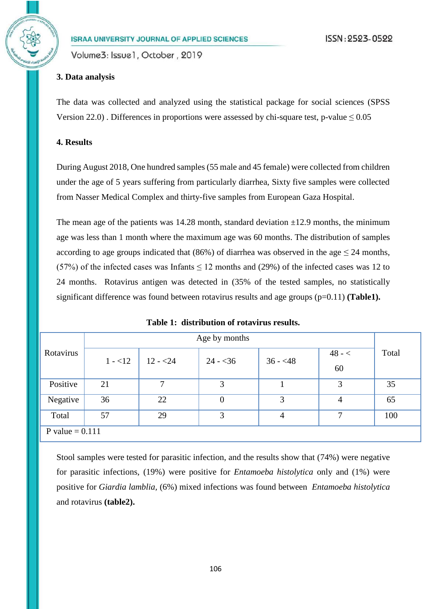#### **3. Data analysis**

The data was collected and analyzed using the statistical package for social sciences (SPSS Version 22.0). Differences in proportions were assessed by chi-square test, p-value  $\leq 0.05$ 

#### **4. Results**

During August 2018, One hundred samples (55 male and 45 female) were collected from children under the age of 5 years suffering from particularly diarrhea, Sixty five samples were collected from Nasser Medical Complex and thirty-five samples from European Gaza Hospital.

The mean age of the patients was 14.28 month, standard deviation  $\pm 12.9$  months, the minimum age was less than 1 month where the maximum age was 60 months. The distribution of samples according to age groups indicated that (86%) of diarrhea was observed in the age  $\leq$  24 months, (57%) of the infected cases was Infants  $\leq$  12 months and (29%) of the infected cases was 12 to 24 months. Rotavirus antigen was detected in (35% of the tested samples, no statistically significant difference was found between rotavirus results and age groups (p=0.11) (Table1).

|                   | Age by months |           |                |           |                |       |
|-------------------|---------------|-----------|----------------|-----------|----------------|-------|
| Rotavirus         | $1 - 12$      | $12 - 24$ | $24 - 36$      | $36 - 48$ | $48 - c$<br>60 | Total |
| Positive          | 21            | 7         | 3              |           | 3              | 35    |
| Negative          | 36            | 22        | $\overline{0}$ | 3         | 4              | 65    |
| Total             | 57            | 29        | 3              | 4         | ⇁              | 100   |
| P value $= 0.111$ |               |           |                |           |                |       |

Stool samples were tested for parasitic infection, and the results show that (74%) were negative for parasitic infections, (19%) were positive for *Entamoeba histolytica* only and (1%) were positive for *Giardia lamblia,* (6%) mixed infections was found between *Entamoeba histolytica*  and rotavirus **(table2).**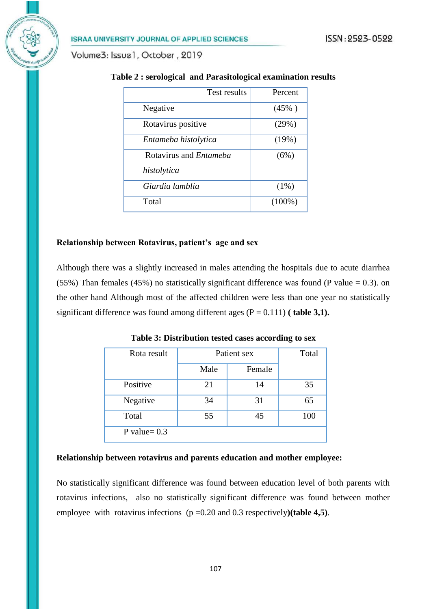Volume3: Issue1, October, 2019

| <b>Test results</b>           | Percent   |
|-------------------------------|-----------|
| Negative                      | $(45\%)$  |
| Rotavirus positive            | (29%)     |
| Entameba histolytica          | (19%)     |
| Rotavirus and <i>Entameba</i> | (6%)      |
| histolytica                   |           |
| Giardia lamblia               | (1%)      |
| Total                         | $(100\%)$ |

#### **Table 2 : serological and Parasitological examination results**

#### **Relationship between Rotavirus, patient's age and sex**

Although there was a slightly increased in males attending the hospitals due to acute diarrhea (55%) Than females (45%) no statistically significant difference was found (P value = 0.3). on the other hand Although most of the affected children were less than one year no statistically significant difference was found among different ages  $(P = 0.111)$  (table 3,1).

| Rota result    | Patient sex |        | Total |
|----------------|-------------|--------|-------|
|                | Male        | Female |       |
| Positive       | 21          | 14     | 35    |
| Negative       | 34          | 31     | 65    |
| Total          | 55          | 45     | 100   |
| P value= $0.3$ |             |        |       |

**Table 3: Distribution tested cases according to sex**

#### **Relationship between rotavirus and parents education and mother employee:**

No statistically significant difference was found between education level of both parents with rotavirus infections, also no statistically significant difference was found between mother employee with rotavirus infections (p =0.20 and 0.3 respectively**)(table 4,5)**.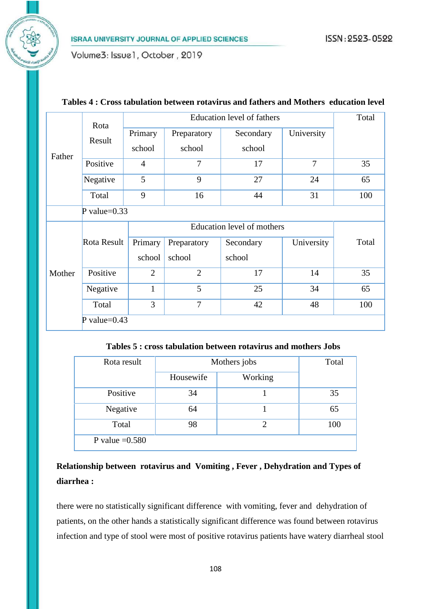Volume3: Issue1, October, 2019

|        | Rota            | <b>Education level of fathers</b> |                |           |                | Total |
|--------|-----------------|-----------------------------------|----------------|-----------|----------------|-------|
| Father | Result          | Primary                           | Preparatory    | Secondary | University     |       |
|        |                 | school                            | school         | school    |                |       |
|        | Positive        | 4                                 | 7              | 17        | $\overline{7}$ | 35    |
|        | Negative        | 5                                 | 9              | 27        | 24             | 65    |
|        | Total           | 9                                 | 16             | 44        | 31             | 100   |
|        | P value= $0.33$ |                                   |                |           |                |       |
|        |                 | Education level of mothers        |                |           |                |       |
|        | Rota Result     | Primary                           | Preparatory    | Secondary | University     | Total |
| Mother |                 | school                            | school         | school    |                |       |
|        | Positive        | $\overline{2}$                    | $\overline{2}$ | 17        | 14             | 35    |
|        | Negative        | $\mathbf{1}$                      | 5              | 25        | 34             | 65    |
|        | Total           | 3                                 | $\overline{7}$ | 42        | 48             | 100   |
|        | P value= $0.43$ |                                   |                |           |                |       |

#### **Tables 4 : Cross tabulation between rotavirus and fathers and Mothers education level**

**Tables 5 : cross tabulation between rotavirus and mothers Jobs**

| Rota result      | Mothers jobs | Total   |     |
|------------------|--------------|---------|-----|
|                  | Housewife    | Working |     |
| Positive         | 34           |         | 35  |
| Negative         | 64           |         | 65  |
| Total            | 98           | 2       | 100 |
| P value $=0.580$ |              |         |     |

### **Relationship between rotavirus and Vomiting , Fever , Dehydration and Types of diarrhea :**

there were no statistically significant difference with vomiting, fever and dehydration of patients, on the other hands a statistically significant difference was found between rotavirus infection and type of stool were most of positive rotavirus patients have watery diarrheal stool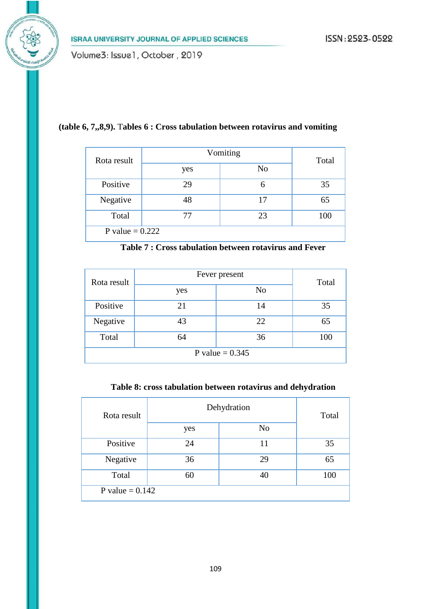#### **(table 6, 7,,8,9).** T**ables 6 : Cross tabulation between rotavirus and vomiting**

| Rota result       | Vomiting | Total          |     |  |
|-------------------|----------|----------------|-----|--|
|                   | yes      | N <sub>o</sub> |     |  |
| Positive          | 29       | 6              | 35  |  |
| Negative          | 48       | 17             | 65  |  |
| Total             | 77       | 23             | 100 |  |
| P value = $0.222$ |          |                |     |  |

| Rota result       | Fever present | Total |     |  |
|-------------------|---------------|-------|-----|--|
|                   | yes           | No    |     |  |
| Positive          | 21            | 14    | 35  |  |
| Negative          | 43            | 22    | 65  |  |
| Total             | 64            | 36    | 100 |  |
| P value = $0.345$ |               |       |     |  |

#### **Table 8: cross tabulation between rotavirus and dehydration**

| Rota result       | Dehydration | Total          |     |
|-------------------|-------------|----------------|-----|
|                   | yes         | N <sub>0</sub> |     |
| Positive          | 24          | 11             | 35  |
| Negative          | 36          | 29             | 65  |
| Total             | 60          |                | 100 |
| P value = $0.142$ |             |                |     |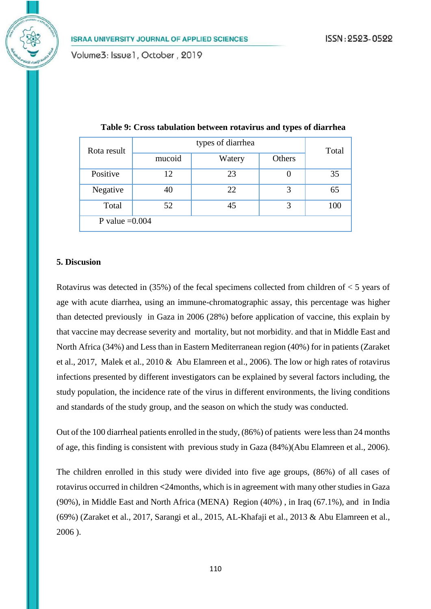| Rota result      |        | Total  |        |     |  |
|------------------|--------|--------|--------|-----|--|
|                  | mucoid | Watery | Others |     |  |
| Positive         | 12     | 23     |        | 35  |  |
| Negative         | 40     | 22     | 3      | 65  |  |
| Total            | 52     | 45     | 3      | 100 |  |
| P value $=0.004$ |        |        |        |     |  |

**Table 9: Cross tabulation between rotavirus and types of diarrhea**

#### **5. Discusion**

Rotavirus was detected in (35%) of the fecal specimens collected from children of < 5 years of age with acute diarrhea, using an immune-chromatographic assay, this percentage was higher than detected previously in Gaza in 2006 (28%) before application of vaccine, this explain by that vaccine may decrease severity and mortality, but not morbidity. and that in Middle East and North Africa (34%) and Less than in Eastern Mediterranean region (40%) for in patients (Zaraket et al., 2017, Malek et al., 2010 & Abu Elamreen et al., 2006). The low or high rates of rotavirus infections presented by different investigators can be explained by several factors including, the study population, the incidence rate of the virus in different environments, the living conditions and standards of the study group, and the season on which the study was conducted.

Out of the 100 diarrheal patients enrolled in the study, (86%) of patients were less than 24 months of age, this finding is consistent with previous study in Gaza (84%)(Abu Elamreen et al., 2006).

The children enrolled in this study were divided into five age groups, (86%) of all cases of rotavirus occurred in children **<**24months, which is in agreement with many other studies in Gaza (90%), in Middle East and North Africa (MENA) Region (40%) , in Iraq (67.1%), and in India (69%) (Zaraket et al., 2017, Sarangi et al., 2015, AL-Khafaji et al., 2013 & Abu Elamreen et al., 2006 ).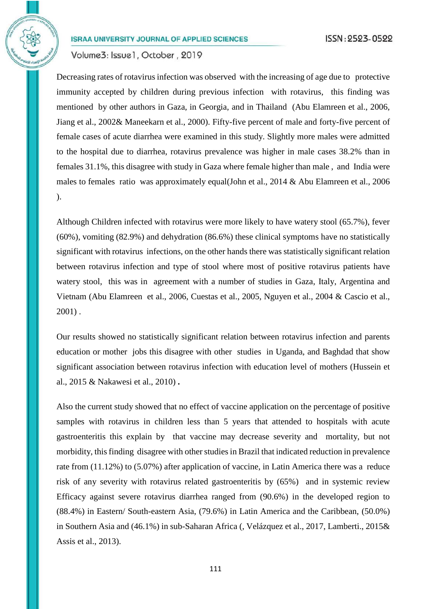Volume3: Issue1, October, 2019

Decreasing rates of rotavirus infection was observed with the increasing of age due to protective immunity accepted by children during previous infection with rotavirus, this finding was mentioned by other authors in Gaza, in Georgia, and in Thailand (Abu Elamreen et al., 2006, Jiang et al., 2002& Maneekarn et al., 2000). Fifty-five percent of male and forty-five percent of female cases of acute diarrhea were examined in this study. Slightly more males were admitted to the hospital due to diarrhea, rotavirus prevalence was higher in male cases 38.2% than in females 31.1%, this disagree with study in Gaza where female higher than male , and India were males to females ratio was approximately equal(John et al., 2014 & Abu Elamreen et al., 2006 ).

Although Children infected with rotavirus were more likely to have watery stool (65.7%), fever (60%), vomiting (82.9%) and dehydration (86.6%) these clinical symptoms have no statistically significant with rotavirus infections, on the other hands there was statistically significant relation between rotavirus infection and type of stool where most of positive rotavirus patients have watery stool, this was in agreement with a number of studies in Gaza, Italy, Argentina and Vietnam (Abu Elamreen et al., 2006, Cuestas et al., 2005, Nguyen et al., 2004 & Cascio et al., 2001) .

Our results showed no statistically significant relation between rotavirus infection and parents education or mother jobs this disagree with other studies in Uganda, and Baghdad that show significant association between rotavirus infection with education level of mothers (Hussein et al., 2015 & Nakawesi et al., 2010) **.**

Also the current study showed that no effect of vaccine application on the percentage of positive samples with rotavirus in children less than 5 years that attended to hospitals with acute gastroenteritis this explain by that vaccine may decrease severity and mortality, but not morbidity, this finding disagree with other studies in Brazil that indicated reduction in prevalence rate from (11.12%) to (5.07%) after application of vaccine, in Latin America there was a reduce risk of any severity with rotavirus related gastroenteritis by (65%) and in systemic review Efficacy against severe rotavirus diarrhea ranged from (90.6%) in the developed region to (88.4%) in Eastern/ South-eastern Asia, (79.6%) in Latin America and the Caribbean, (50.0%) in Southern Asia and (46.1%) in sub-Saharan Africa (, Velázquez et al., 2017, Lamberti., 2015& Assis et al., 2013).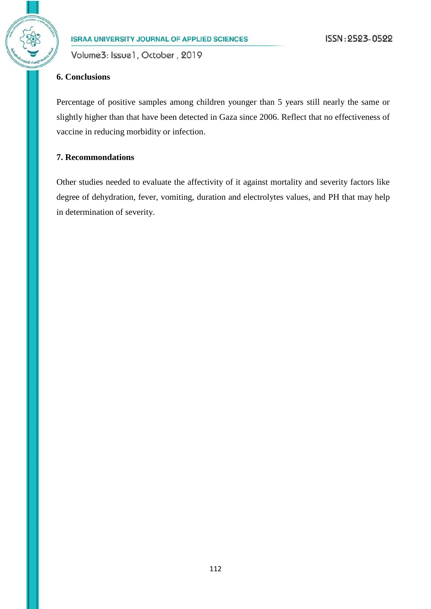Volume3: Issue1, October, 2019

#### **6. Conclusions**

Percentage of positive samples among children younger than 5 years still nearly the same or slightly higher than that have been detected in Gaza since 2006. Reflect that no effectiveness of vaccine in reducing morbidity or infection.

#### **7. Recommondations**

Other studies needed to evaluate the affectivity of it against mortality and severity factors like degree of dehydration, fever, vomiting, duration and electrolytes values, and PH that may help in determination of severity.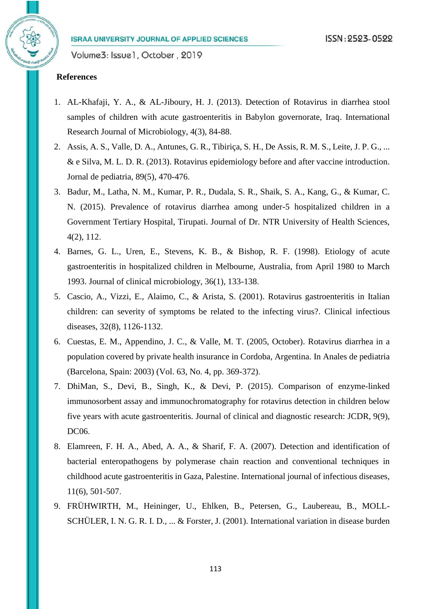#### **References**

- 1. AL-Khafaji, Y. A., & AL-Jiboury, H. J. (2013). Detection of Rotavirus in diarrhea stool samples of children with acute gastroenteritis in Babylon governorate, Iraq. International Research Journal of Microbiology, 4(3), 84-88.
- 2. Assis, A. S., Valle, D. A., Antunes, G. R., Tibiriça, S. H., De Assis, R. M. S., Leite, J. P. G., ... & e Silva, M. L. D. R. (2013). Rotavirus epidemiology before and after vaccine introduction. Jornal de pediatria, 89(5), 470-476.
- 3. Badur, M., Latha, N. M., Kumar, P. R., Dudala, S. R., Shaik, S. A., Kang, G., & Kumar, C. N. (2015). Prevalence of rotavirus diarrhea among under-5 hospitalized children in a Government Tertiary Hospital, Tirupati. Journal of Dr. NTR University of Health Sciences, 4(2), 112.
- 4. Barnes, G. L., Uren, E., Stevens, K. B., & Bishop, R. F. (1998). Etiology of acute gastroenteritis in hospitalized children in Melbourne, Australia, from April 1980 to March 1993. Journal of clinical microbiology, 36(1), 133-138.
- 5. Cascio, A., Vizzi, E., Alaimo, C., & Arista, S. (2001). Rotavirus gastroenteritis in Italian children: can severity of symptoms be related to the infecting virus?. Clinical infectious diseases, 32(8), 1126-1132.
- 6. Cuestas, E. M., Appendino, J. C., & Valle, M. T. (2005, October). Rotavirus diarrhea in a population covered by private health insurance in Cordoba, Argentina. In Anales de pediatria (Barcelona, Spain: 2003) (Vol. 63, No. 4, pp. 369-372).
- 7. DhiMan, S., Devi, B., Singh, K., & Devi, P. (2015). Comparison of enzyme-linked immunosorbent assay and immunochromatography for rotavirus detection in children below five years with acute gastroenteritis. Journal of clinical and diagnostic research: JCDR, 9(9), DC06.
- 8. Elamreen, F. H. A., Abed, A. A., & Sharif, F. A. (2007). Detection and identification of bacterial enteropathogens by polymerase chain reaction and conventional techniques in childhood acute gastroenteritis in Gaza, Palestine. International journal of infectious diseases, 11(6), 501-507.
- 9. FRÜHWIRTH, M., Heininger, U., Ehlken, B., Petersen, G., Laubereau, B., MOLL-SCHÜLER, I. N. G. R. I. D., ... & Forster, J. (2001). International variation in disease burden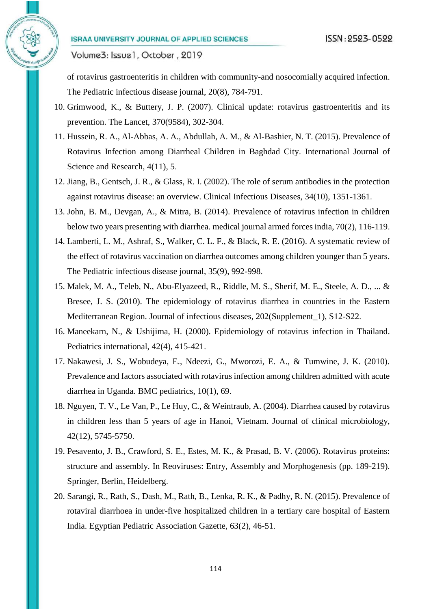Volume3: Issue1, October, 2019

of rotavirus gastroenteritis in children with community-and nosocomially acquired infection. The Pediatric infectious disease journal, 20(8), 784-791.

- 10. Grimwood, K., & Buttery, J. P. (2007). Clinical update: rotavirus gastroenteritis and its prevention. The Lancet, 370(9584), 302-304.
- 11. Hussein, R. A., Al-Abbas, A. A., Abdullah, A. M., & Al-Bashier, N. T. (2015). Prevalence of Rotavirus Infection among Diarrheal Children in Baghdad City. International Journal of Science and Research, 4(11), 5.
- 12. Jiang, B., Gentsch, J. R., & Glass, R. I. (2002). The role of serum antibodies in the protection against rotavirus disease: an overview. Clinical Infectious Diseases, 34(10), 1351-1361.
- 13. John, B. M., Devgan, A., & Mitra, B. (2014). Prevalence of rotavirus infection in children below two years presenting with diarrhea. medical journal armed forces india, 70(2), 116-119.
- 14. Lamberti, L. M., Ashraf, S., Walker, C. L. F., & Black, R. E. (2016). A systematic review of the effect of rotavirus vaccination on diarrhea outcomes among children younger than 5 years. The Pediatric infectious disease journal, 35(9), 992-998.
- 15. Malek, M. A., Teleb, N., Abu-Elyazeed, R., Riddle, M. S., Sherif, M. E., Steele, A. D., ... & Bresee, J. S. (2010). The epidemiology of rotavirus diarrhea in countries in the Eastern Mediterranean Region. Journal of infectious diseases, 202(Supplement\_1), S12-S22.
- 16. Maneekarn, N., & Ushijima, H. (2000). Epidemiology of rotavirus infection in Thailand. Pediatrics international, 42(4), 415-421.
- 17. Nakawesi, J. S., Wobudeya, E., Ndeezi, G., Mworozi, E. A., & Tumwine, J. K. (2010). Prevalence and factors associated with rotavirus infection among children admitted with acute diarrhea in Uganda. BMC pediatrics, 10(1), 69.
- 18. Nguyen, T. V., Le Van, P., Le Huy, C., & Weintraub, A. (2004). Diarrhea caused by rotavirus in children less than 5 years of age in Hanoi, Vietnam. Journal of clinical microbiology, 42(12), 5745-5750.
- 19. Pesavento, J. B., Crawford, S. E., Estes, M. K., & Prasad, B. V. (2006). Rotavirus proteins: structure and assembly. In Reoviruses: Entry, Assembly and Morphogenesis (pp. 189-219). Springer, Berlin, Heidelberg.
- 20. Sarangi, R., Rath, S., Dash, M., Rath, B., Lenka, R. K., & Padhy, R. N. (2015). Prevalence of rotaviral diarrhoea in under-five hospitalized children in a tertiary care hospital of Eastern India. Egyptian Pediatric Association Gazette, 63(2), 46-51.